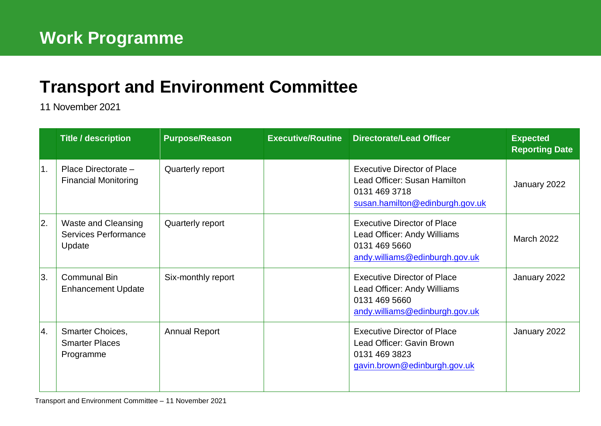## **[Transport and Environment](mailto:john.bury@edinburgh.gov.uk) Committee**

11 November 2021

|    | <b>Title / description</b>                                          | <b>Purpose/Reason</b> | <b>Executive/Routine</b> | <b>Directorate/Lead Officer</b>                                                                                        | <b>Expected</b><br><b>Reporting Date</b> |
|----|---------------------------------------------------------------------|-----------------------|--------------------------|------------------------------------------------------------------------------------------------------------------------|------------------------------------------|
| 1. | Place Directorate -<br><b>Financial Monitoring</b>                  | Quarterly report      |                          | <b>Executive Director of Place</b><br>Lead Officer: Susan Hamilton<br>0131 469 3718<br>susan.hamilton@edinburgh.gov.uk | January 2022                             |
| 2. | <b>Waste and Cleansing</b><br><b>Services Performance</b><br>Update | Quarterly report      |                          | <b>Executive Director of Place</b><br>Lead Officer: Andy Williams<br>0131 469 5660<br>andy.williams@edinburgh.gov.uk   | <b>March 2022</b>                        |
| 3. | <b>Communal Bin</b><br><b>Enhancement Update</b>                    | Six-monthly report    |                          | <b>Executive Director of Place</b><br>Lead Officer: Andy Williams<br>0131 469 5660<br>andy.williams@edinburgh.gov.uk   | January 2022                             |
| 4. | Smarter Choices,<br><b>Smarter Places</b><br>Programme              | <b>Annual Report</b>  |                          | <b>Executive Director of Place</b><br>Lead Officer: Gavin Brown<br>0131 469 3823<br>gavin.brown@edinburgh.gov.uk       | January 2022                             |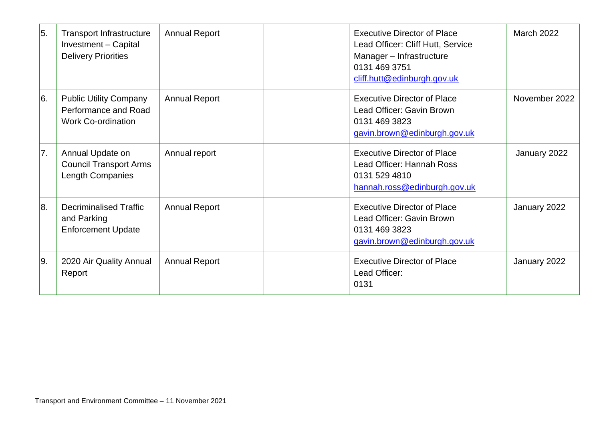| 5.            | <b>Transport Infrastructure</b><br>Investment - Capital<br><b>Delivery Priorities</b> | <b>Annual Report</b> | <b>Executive Director of Place</b><br>Lead Officer: Cliff Hutt, Service<br>Manager - Infrastructure<br>0131 469 3751<br>cliff.hutt@edinburgh.gov.uk | <b>March 2022</b> |
|---------------|---------------------------------------------------------------------------------------|----------------------|-----------------------------------------------------------------------------------------------------------------------------------------------------|-------------------|
| 6.            | <b>Public Utility Company</b><br>Performance and Road<br><b>Work Co-ordination</b>    | <b>Annual Report</b> | <b>Executive Director of Place</b><br>Lead Officer: Gavin Brown<br>0131 469 3823<br>gavin.brown@edinburgh.gov.uk                                    | November 2022     |
| 7.            | Annual Update on<br><b>Council Transport Arms</b><br>Length Companies                 | Annual report        | <b>Executive Director of Place</b><br>Lead Officer: Hannah Ross<br>0131 529 4810<br>hannah.ross@edinburgh.gov.uk                                    | January 2022      |
| 8.            | <b>Decriminalised Traffic</b><br>and Parking<br><b>Enforcement Update</b>             | <b>Annual Report</b> | <b>Executive Director of Place</b><br>Lead Officer: Gavin Brown<br>0131 469 3823<br>gavin.brown@edinburgh.gov.uk                                    | January 2022      |
| <sup>9.</sup> | 2020 Air Quality Annual<br>Report                                                     | <b>Annual Report</b> | <b>Executive Director of Place</b><br>Lead Officer:<br>0131                                                                                         | January 2022      |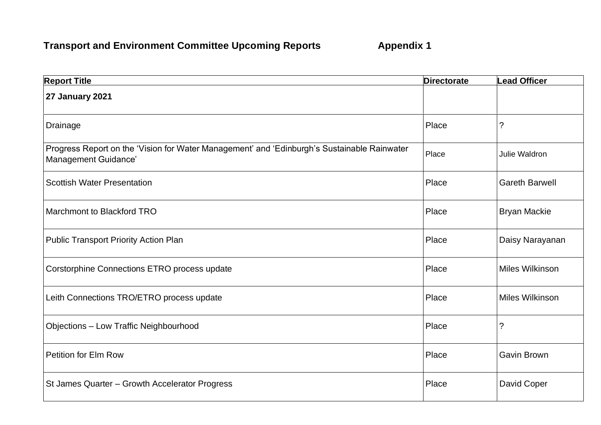## **Transport and Environment Committee Upcoming Reports Appendix 1**

| <b>Report Title</b>                                                                                                 | <b>Directorate</b> | <b>Lead Officer</b>    |
|---------------------------------------------------------------------------------------------------------------------|--------------------|------------------------|
| <b>27 January 2021</b>                                                                                              |                    |                        |
| Drainage                                                                                                            | Place              | ?                      |
| Progress Report on the 'Vision for Water Management' and 'Edinburgh's Sustainable Rainwater<br>Management Guidance' | Place              | Julie Waldron          |
| <b>Scottish Water Presentation</b>                                                                                  | Place              | <b>Gareth Barwell</b>  |
| <b>Marchmont to Blackford TRO</b>                                                                                   | Place              | <b>Bryan Mackie</b>    |
| <b>Public Transport Priority Action Plan</b>                                                                        | Place              | Daisy Narayanan        |
| Corstorphine Connections ETRO process update                                                                        | Place              | Miles Wilkinson        |
| Leith Connections TRO/ETRO process update                                                                           | Place              | <b>Miles Wilkinson</b> |
| <b>Objections - Low Traffic Neighbourhood</b>                                                                       | Place              | ?                      |
| Petition for Elm Row                                                                                                | Place              | Gavin Brown            |
| St James Quarter - Growth Accelerator Progress                                                                      | Place              | David Coper            |